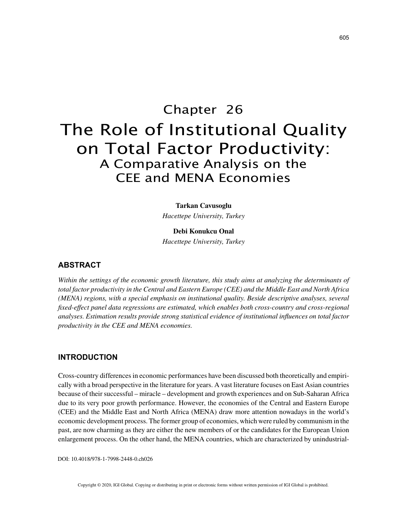# Chapter 26 The Role of Institutional Quality on Total Factor Productivity: A Comparative Analysis on the CEE and MENA Economies

**Tarkan Cavusoglu**

*Hacettepe University, Turkey*

**Debi Konukcu Onal** *Hacettepe University, Turkey*

# **ABSTRACT**

*Within the settings of the economic growth literature, this study aims at analyzing the determinants of total factor productivity in the Central and Eastern Europe (CEE) and the Middle East and North Africa (MENA) regions, with a special emphasis on institutional quality. Beside descriptive analyses, several fixed-effect panel data regressions are estimated, which enables both cross-country and cross-regional analyses. Estimation results provide strong statistical evidence of institutional influences on total factor productivity in the CEE and MENA economies.*

# **INTRODUCTION**

Cross-country differences in economic performances have been discussed both theoretically and empirically with a broad perspective in the literature for years. A vast literature focuses on East Asian countries because of their successful – miracle – development and growth experiences and on Sub-Saharan Africa due to its very poor growth performance. However, the economies of the Central and Eastern Europe (CEE) and the Middle East and North Africa (MENA) draw more attention nowadays in the world's economic development process. The former group of economies, which were ruled by communism in the past, are now charming as they are either the new members of or the candidates for the European Union enlargement process. On the other hand, the MENA countries, which are characterized by unindustrial-

DOI: 10.4018/978-1-7998-2448-0.ch026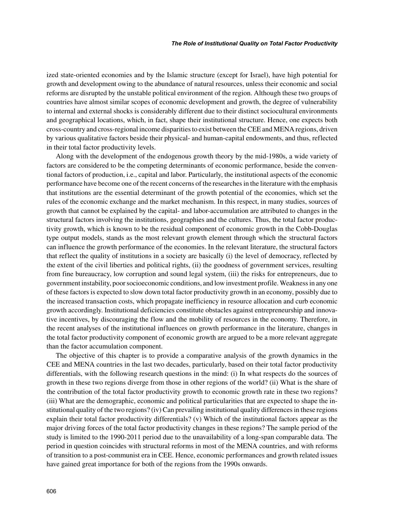ized state-oriented economies and by the Islamic structure (except for Israel), have high potential for growth and development owing to the abundance of natural resources, unless their economic and social reforms are disrupted by the unstable political environment of the region. Although these two groups of countries have almost similar scopes of economic development and growth, the degree of vulnerability to internal and external shocks is considerably different due to their distinct sociocultural environments and geographical locations, which, in fact, shape their institutional structure. Hence, one expects both cross-country and cross-regional income disparities to exist between the CEE and MENA regions, driven by various qualitative factors beside their physical- and human-capital endowments, and thus, reflected in their total factor productivity levels.

Along with the development of the endogenous growth theory by the mid-1980s, a wide variety of factors are considered to be the competing determinants of economic performance, beside the conventional factors of production, i.e., capital and labor. Particularly, the institutional aspects of the economic performance have become one of the recent concerns of the researches in the literature with the emphasis that institutions are the essential determinant of the growth potential of the economies, which set the rules of the economic exchange and the market mechanism. In this respect, in many studies, sources of growth that cannot be explained by the capital- and labor-accumulation are attributed to changes in the structural factors involving the institutions, geographies and the cultures. Thus, the total factor productivity growth, which is known to be the residual component of economic growth in the Cobb-Douglas type output models, stands as the most relevant growth element through which the structural factors can influence the growth performance of the economies. In the relevant literature, the structural factors that reflect the quality of institutions in a society are basically (i) the level of democracy, reflected by the extent of the civil liberties and political rights, (ii) the goodness of government services, resulting from fine bureaucracy, low corruption and sound legal system, (iii) the risks for entrepreneurs, due to government instability, poor socioeconomic conditions, and low investment profile. Weakness in any one of these factors is expected to slow down total factor productivity growth in an economy, possibly due to the increased transaction costs, which propagate inefficiency in resource allocation and curb economic growth accordingly. Institutional deficiencies constitute obstacles against entrepreneurship and innovative incentives, by discouraging the flow and the mobility of resources in the economy. Therefore, in the recent analyses of the institutional influences on growth performance in the literature, changes in the total factor productivity component of economic growth are argued to be a more relevant aggregate than the factor accumulation component.

The objective of this chapter is to provide a comparative analysis of the growth dynamics in the CEE and MENA countries in the last two decades, particularly, based on their total factor productivity differentials, with the following research questions in the mind: (i) In what respects do the sources of growth in these two regions diverge from those in other regions of the world? (ii) What is the share of the contribution of the total factor productivity growth to economic growth rate in these two regions? (iii) What are the demographic, economic and political particularities that are expected to shape the institutional quality of the two regions? (iv) Can prevailing institutional quality differences in these regions explain their total factor productivity differentials? (v) Which of the institutional factors appear as the major driving forces of the total factor productivity changes in these regions? The sample period of the study is limited to the 1990-2011 period due to the unavailability of a long-span comparable data. The period in question coincides with structural reforms in most of the MENA countries, and with reforms of transition to a post-communist era in CEE. Hence, economic performances and growth related issues have gained great importance for both of the regions from the 1990s onwards.